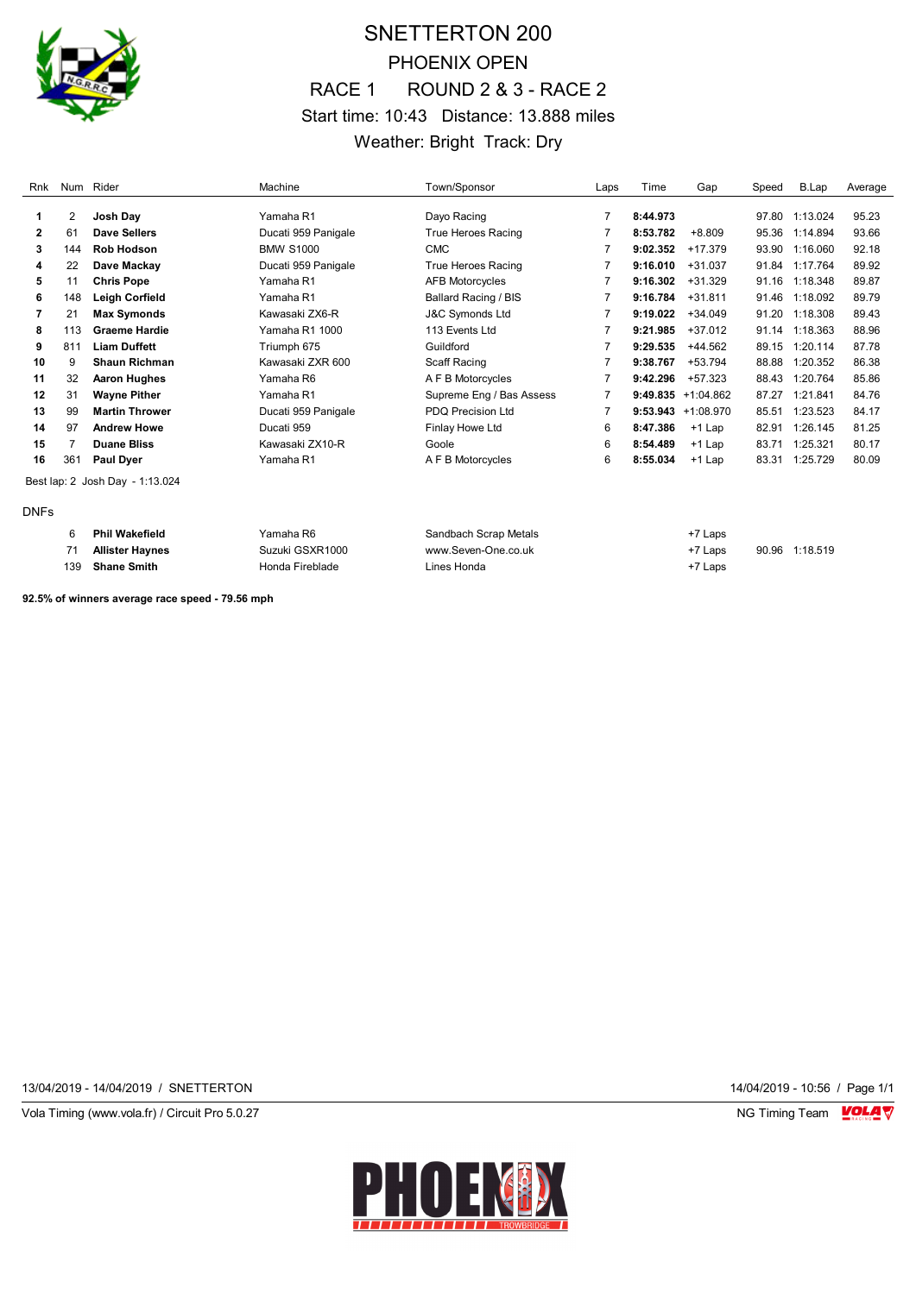

# SNETTERTON 200 PHOENIX OPEN RACE 1 ROUND 2 & 3 - RACE 2 Start time: 10:43 Distance: 13.888 miles Weather: Bright Track: Dry

| Rnk          |     | Num Rider                       | Machine             | Town/Sponsor               | Laps | Time     | Gap                  | Speed | B.Lap    | Average |
|--------------|-----|---------------------------------|---------------------|----------------------------|------|----------|----------------------|-------|----------|---------|
|              | 2   | Josh Day                        | Yamaha R1           | Dayo Racing                |      | 8:44.973 |                      | 97.80 | 1:13.024 | 95.23   |
| $\mathbf{2}$ | 61  | Dave Sellers                    | Ducati 959 Panigale | True Heroes Racing         |      | 8:53.782 | $+8.809$             | 95.36 | 1:14.894 | 93.66   |
|              |     |                                 |                     |                            |      |          |                      |       |          |         |
| 3            | 144 | <b>Rob Hodson</b>               | <b>BMW S1000</b>    | <b>CMC</b>                 |      | 9:02.352 | $+17.379$            | 93.90 | 1:16.060 | 92.18   |
| 4            | 22  | Dave Mackay                     | Ducati 959 Panigale | True Heroes Racing         |      | 9:16.010 | $+31.037$            | 91.84 | 1:17.764 | 89.92   |
| 5            | 11  | <b>Chris Pope</b>               | Yamaha R1           | <b>AFB Motorcycles</b>     |      | 9:16.302 | $+31.329$            | 91.16 | 1:18.348 | 89.87   |
| 6            | 148 | Leigh Corfield                  | Yamaha R1           | Ballard Racing / BIS       |      | 9:16.784 | $+31.811$            | 91.46 | 1:18.092 | 89.79   |
| 7            | 21  | <b>Max Symonds</b>              | Kawasaki ZX6-R      | <b>J&amp;C Symonds Ltd</b> |      | 9:19.022 | $+34.049$            | 91.20 | 1:18.308 | 89.43   |
| 8            | 113 | <b>Graeme Hardie</b>            | Yamaha R1 1000      | 113 Events Ltd             |      | 9:21.985 | +37.012              | 91.14 | 1:18.363 | 88.96   |
| 9            | 811 | <b>Liam Duffett</b>             | Triumph 675         | Guildford                  |      | 9:29.535 | +44.562              | 89.15 | 1:20.114 | 87.78   |
| 10           | 9   | <b>Shaun Richman</b>            | Kawasaki ZXR 600    | Scaff Racing               |      | 9:38.767 | +53.794              | 88.88 | 1:20.352 | 86.38   |
| 11           | 32  | <b>Aaron Hughes</b>             | Yamaha R6           | A F B Motorcycles          |      | 9:42.296 | +57.323              | 88.43 | 1:20.764 | 85.86   |
| 12           | 31  | <b>Wayne Pither</b>             | Yamaha R1           | Supreme Eng / Bas Assess   | 7    |          | $9:49.835 +1:04.862$ | 87.27 | 1:21.841 | 84.76   |
| 13           | 99  | <b>Martin Thrower</b>           | Ducati 959 Panigale | <b>PDQ Precision Ltd</b>   |      |          | $9:53.943 +1:08.970$ | 85.51 | 1:23.523 | 84.17   |
| 14           | 97  | <b>Andrew Howe</b>              | Ducati 959          | Finlay Howe Ltd            | 6    | 8:47.386 | +1 Lap               | 82.91 | 1:26.145 | 81.25   |
| 15           | 7   | <b>Duane Bliss</b>              | Kawasaki ZX10-R     | Goole                      | 6    | 8:54.489 | $+1$ Lap             | 83.71 | 1:25.321 | 80.17   |
| 16           | 361 | <b>Paul Dyer</b>                | Yamaha R1           | A F B Motorcycles          | 6    | 8:55.034 | $+1$ Lap             | 83.31 | 1:25.729 | 80.09   |
|              |     | Best lap: 2 Josh Day - 1:13.024 |                     |                            |      |          |                      |       |          |         |
| <b>DNFs</b>  |     |                                 |                     |                            |      |          |                      |       |          |         |

|     | <b>Phil Wakefield</b> | Yamaha R6       | Sandbach Scrap Metals | +7 Laps |                |
|-----|-----------------------|-----------------|-----------------------|---------|----------------|
|     | Allister Haynes       | Suzuki GSXR1000 | www.Seven-One.co.uk   | +7 Laps | 90.96 1:18.519 |
| 139 | Shane Smith           | Honda Fireblade | Lines Honda           | +7 Laps |                |

**92.5% of winners average race speed - 79.56 mph**

13/04/2019 - 14/04/2019 / SNETTERTON 14/04/2019 - 10:56 / Page 1/1

Vola Timing (www.vola.fr) / Circuit Pro 5.0.27 NG Timing Team VOLA V

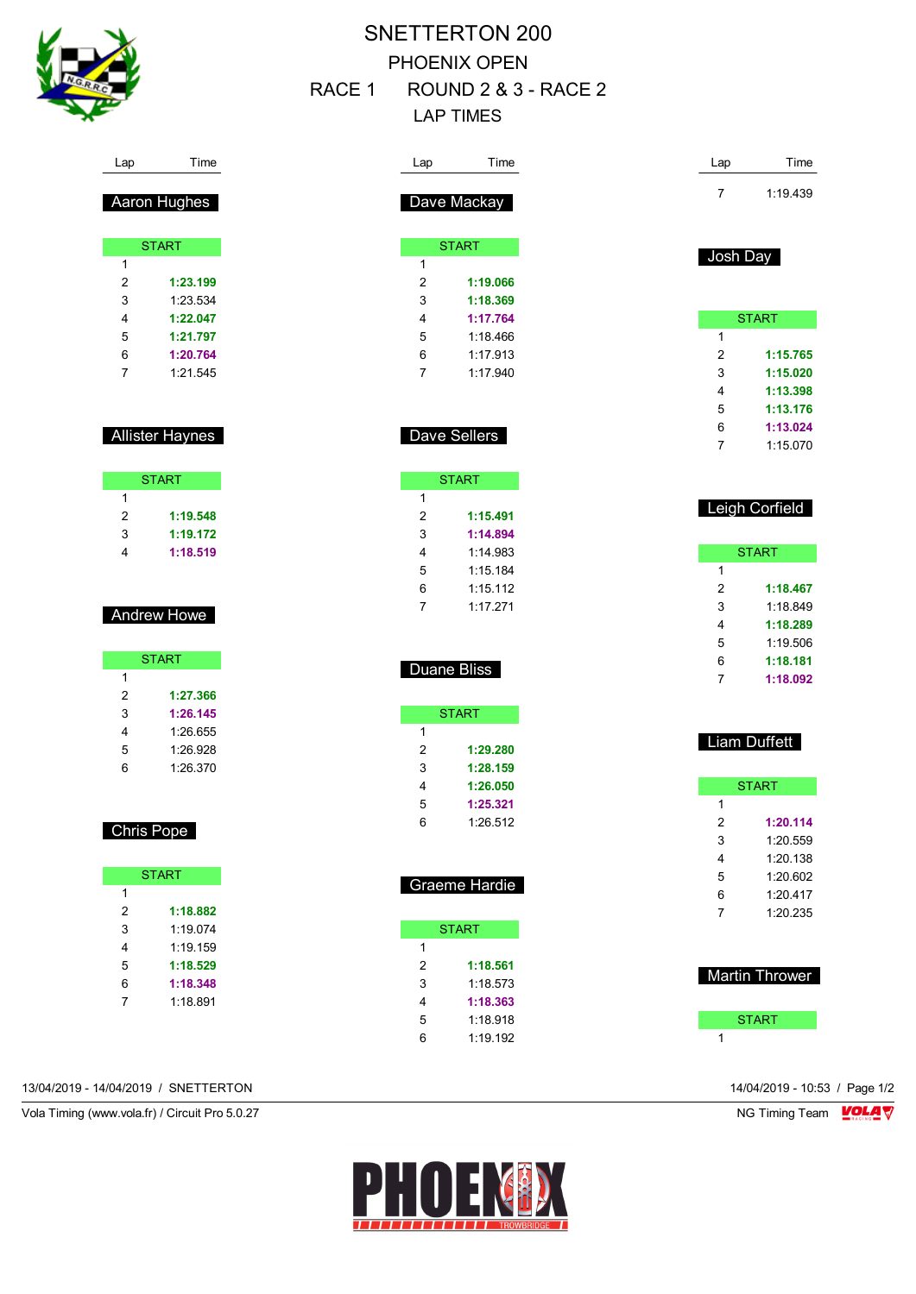

# SNETTERTON 200 PHOENIX OPEN

RACE 1 ROUND 2 & 3 - RACE 2

# LAP TIMES

| Lap              | Time                   | Lap            | Time                 | Lap            | Time                  |
|------------------|------------------------|----------------|----------------------|----------------|-----------------------|
|                  |                        |                |                      | 7              | 1:19.439              |
|                  | Aaron Hughes           |                | Dave Mackay          |                |                       |
|                  | <b>START</b>           |                | <b>START</b>         |                |                       |
| 1                |                        | 1              |                      | Josh Day       |                       |
| $\boldsymbol{2}$ | 1:23.199               | 2              | 1:19.066             |                |                       |
| 3                | 1:23.534               | 3              | 1:18.369             |                |                       |
| 4                | 1:22.047               | 4              | 1:17.764             |                | <b>START</b>          |
| 5                | 1:21.797               | 5              | 1:18.466             | $\mathbf{1}$   |                       |
| 6                | 1:20.764               | 6              | 1:17.913             | $\overline{c}$ | 1:15.765              |
| 7                | 1:21.545               | $\overline{7}$ | 1:17.940             | 3              | 1:15.020              |
|                  |                        |                |                      | 4              | 1:13.398              |
|                  |                        |                |                      | 5              | 1:13.176              |
|                  |                        |                |                      | 6              | 1:13.024              |
|                  | <b>Allister Haynes</b> |                | Dave Sellers         | 7              | 1:15.070              |
|                  | <b>START</b>           |                | <b>START</b>         |                |                       |
| $\mathbf{1}$     |                        | $\mathbf{1}$   |                      |                |                       |
| $\overline{c}$   | 1:19.548               | 2              | 1:15.491             |                | Leigh Corfield        |
| 3                | 1:19.172               | 3              | 1:14.894             |                |                       |
| 4                | 1:18.519               | 4              | 1:14.983             |                | <b>START</b>          |
|                  |                        | 5              | 1:15.184             | 1              |                       |
|                  |                        | 6              | 1:15.112             | $\overline{c}$ | 1:18.467              |
|                  |                        | 7              | 1:17.271             | 3              | 1:18.849              |
|                  | Andrew Howe            |                |                      | 4              | 1:18.289              |
|                  |                        |                |                      | 5              | 1:19.506              |
|                  | <b>START</b>           |                |                      | 6              | 1:18.181              |
| $\mathbf{1}$     |                        |                | Duane Bliss          | 7              | 1:18.092              |
| 2                | 1:27.366               |                |                      |                |                       |
| 3                | 1:26.145               |                | <b>START</b>         |                |                       |
| 4                | 1:26.655               | 1              |                      |                | Liam Duffett          |
| 5                | 1:26.928               | 2              | 1:29.280             |                |                       |
| 6                | 1:26.370               | 3              | 1:28.159             |                |                       |
|                  |                        | 4              | 1:26.050             |                | <b>START</b>          |
|                  |                        | 5              | 1:25.321             | 1              |                       |
|                  | Chris Pope             | 6              | 1:26.512             | $\overline{2}$ | 1:20.114              |
|                  |                        |                |                      | 3              | 1:20.559              |
|                  |                        |                |                      | 4              | 1:20.138              |
|                  | <b>START</b>           |                | Graeme Hardie        | $\,$ 5 $\,$    | 1:20.602              |
| $\mathbf{1}$     |                        |                |                      | 6              | 1:20.417              |
| $\sqrt{2}$       | 1:18.882               |                |                      | 7              | 1:20.235              |
|                  |                        |                | <b>START</b>         |                |                       |
| 3                | 1:19.074               |                |                      |                |                       |
| 4                | 1:19.159               | $\mathbf{1}$   |                      |                |                       |
| 5                | 1:18.529               | 2              | 1:18.561             |                |                       |
| 6                | 1:18.348               | 3              | 1:18.573             |                | <b>Martin Thrower</b> |
| $\boldsymbol{7}$ | 1:18.891               | 4              | 1:18.363             |                |                       |
|                  |                        | 5<br>6         | 1:18.918<br>1:19.192 |                | <b>START</b>          |

13/04/2019 - 14/04/2019 / SNETTERTON 14/04/2019 - 10:53 / Page 1/2

Vola Timing (www.vola.fr) / Circuit Pro 5.0.27 NG Timing Team NG Timing Team NG Timing Team NG Timing Team NG

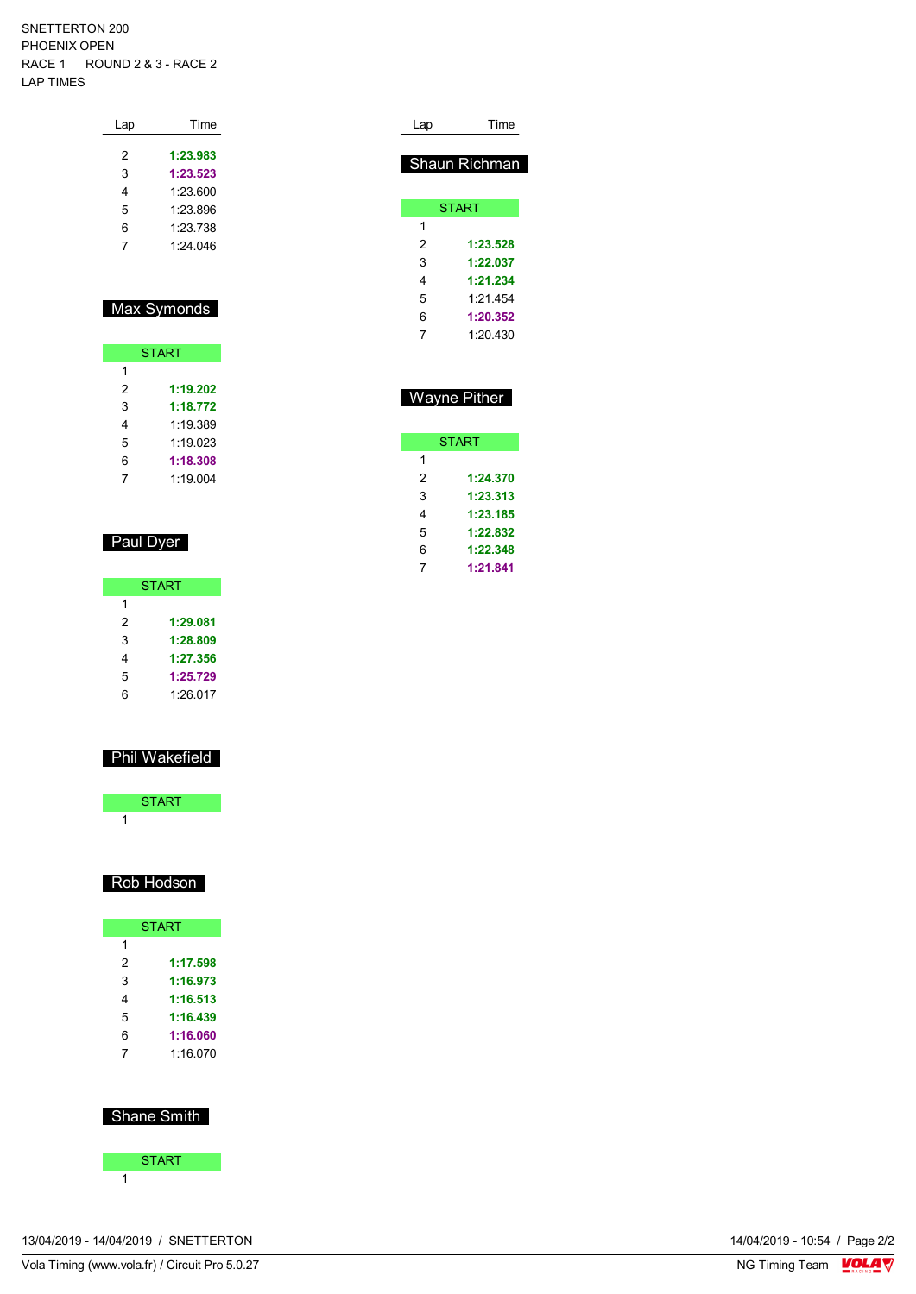#### SNETTERTON 200 PHOENIX OPEN RACE 1 ROUND 2 & 3 - RACE 2 LAP TIMES

| Time     |
|----------|
| 1:23.983 |
| 1:23.523 |
| 1:23.600 |
| 1:23.896 |
| 1.23738  |
| 1.24 046 |
|          |

### Max Symonds

| <b>START</b> |          |  |  |
|--------------|----------|--|--|
| 1            |          |  |  |
| 2            | 1:19.202 |  |  |
| 3            | 1:18.772 |  |  |
| 4            | 1.19.389 |  |  |
| 5            | 1:19.023 |  |  |
| 6            | 1:18.308 |  |  |
| 7            | 1:19.004 |  |  |

### Paul Dyer

|   | <b>START</b> |
|---|--------------|
| 1 |              |
| 2 | 1:29.081     |
| 3 | 1:28.809     |
| 4 | 1:27.356     |
| 5 | 1:25.729     |
| հ | 1:26.017     |

### Phil Wakefield

| <b>START</b> |  |
|--------------|--|
|              |  |

#### Rob Hodson

|   | <b>START</b> |
|---|--------------|
| 1 |              |
| 2 | 1:17.598     |
| 3 | 1:16.973     |
| 4 | 1:16.513     |
| 5 | 1:16.439     |
| 6 | 1:16.060     |
|   | 1.16.070     |

### Shane Smith



| Lap           | Time |
|---------------|------|
|               |      |
| Shaun Richman |      |
|               |      |
| <b>START</b>  |      |
|               |      |
|               |      |

| 2 | 1:23.528 |
|---|----------|
| 3 | 1:22.037 |
| 4 | 1:21.234 |
| 5 | 1.21 454 |
| 6 | 1:20.352 |
|   | 1:20.430 |

## Wayne Pither

| <b>START</b> |
|--------------|
|              |
| 1:24.370     |
| 1:23.313     |
| 1:23.185     |
| 1:22.832     |
| 1:22.348     |
| 1:21.841     |
|              |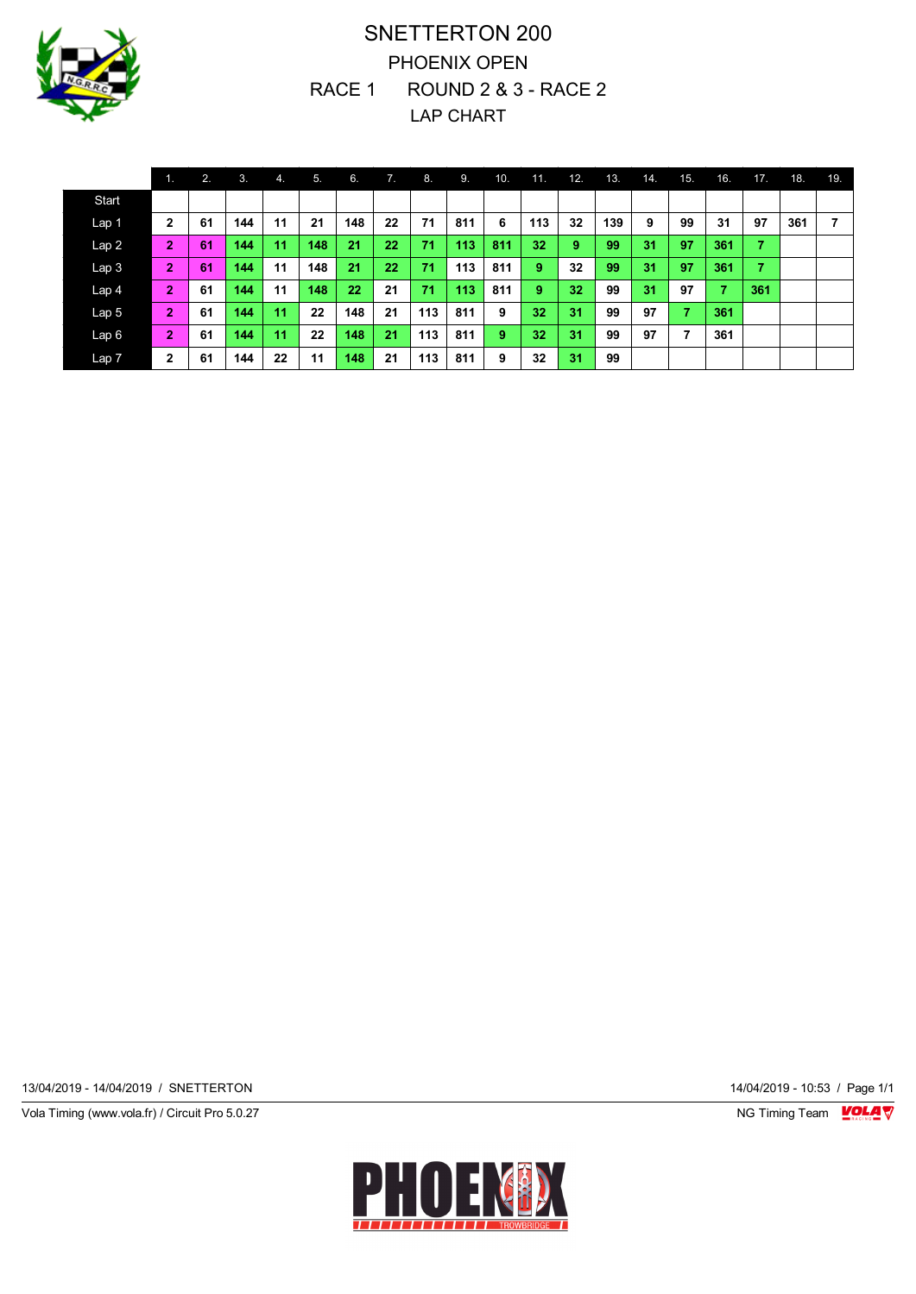

# SNETTERTON 200 PHOENIX OPEN RACE 1 ROUND 2 & 3 - RACE 2 LAP CHART

|                  | 11.            | 2. | 3.  | 4. | 5.  | 6.  | 7. | 8.  | -9. | 10. | 11. | 12. | 13. | 14. | 15. | 16. | 17. | 18. | 19. |
|------------------|----------------|----|-----|----|-----|-----|----|-----|-----|-----|-----|-----|-----|-----|-----|-----|-----|-----|-----|
| Start            |                |    |     |    |     |     |    |     |     |     |     |     |     |     |     |     |     |     |     |
| Lap 1            | $\mathbf{2}$   | 61 | 144 | 11 | 21  | 148 | 22 | 71  | 811 | 6   | 113 | 32  | 139 | 9   | 99  | 31  | 97  | 361 | 7   |
| Lap2             | $\overline{2}$ | 61 | 144 | 11 | 148 | 21  | 22 | 71  | 113 | 811 | 32  | 9   | 99  | 31  | 97  | 361 | 7   |     |     |
| Lap <sub>3</sub> | $\overline{2}$ | 61 | 144 | 11 | 148 | 21  | 22 | 71  | 113 | 811 | 9   | 32  | 99  | 31  | 97  | 361 | 7   |     |     |
| Lap <sub>4</sub> | $\overline{2}$ | 61 | 144 | 11 | 148 | 22  | 21 | 71  | 113 | 811 | 9   | 32  | 99  | 31  | 97  | 7   | 361 |     |     |
| Lap <sub>5</sub> | $\overline{2}$ | 61 | 144 | 11 | 22  | 148 | 21 | 113 | 811 | 9   | 32  | 31  | 99  | 97  | ۰,  | 361 |     |     |     |
| Lap6             | $\overline{2}$ | 61 | 144 | 11 | 22  | 148 | 21 | 113 | 811 | 9   | 32  | 31  | 99  | 97  | 7   | 361 |     |     |     |
| Lap 7            | $\mathbf{2}$   | 61 | 144 | 22 | 11  | 148 | 21 | 113 | 811 | 9   | 32  | 31  | 99  |     |     |     |     |     |     |

13/04/2019 - 14/04/2019 / SNETTERTON 14/04/2019 - 10:53 / Page 1/1

Vola Timing (www.vola.fr) / Circuit Pro 5.0.27 **NG Timing Team Monet Account Property** 

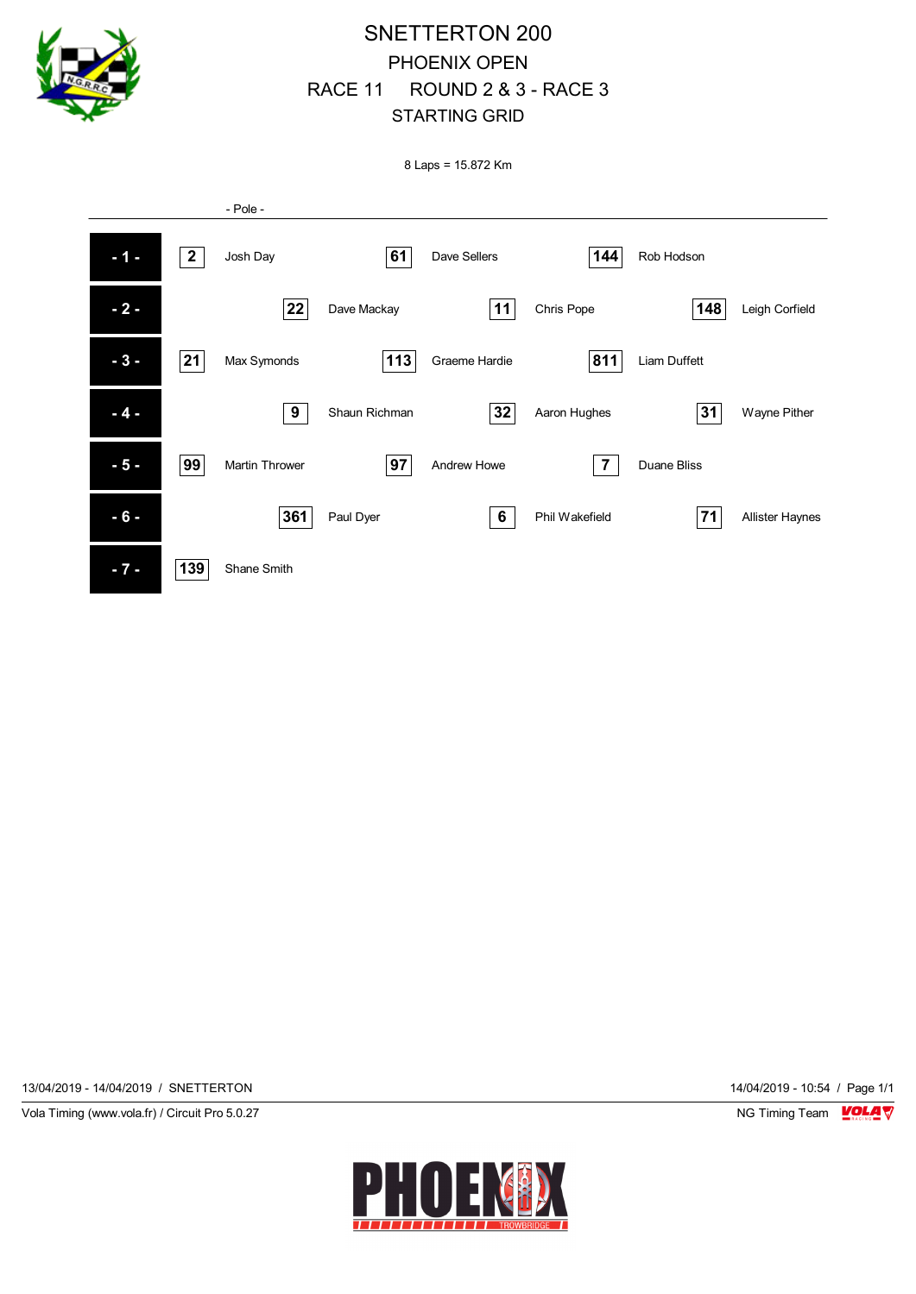

# SNETTERTON 200 PHOENIX OPEN RACE 11 ROUND 2 & 3 - RACE 3 STARTING GRID

8 Laps = 15.872 Km



13/04/2019 - 14/04/2019 / SNETTERTON 14/04/2019 - 10:54 / Page 1/1

Vola Timing (www.vola.fr) / Circuit Pro 5.0.27 NG Timing Team NG Timing Team NG Timing Team NG Timing Team NG

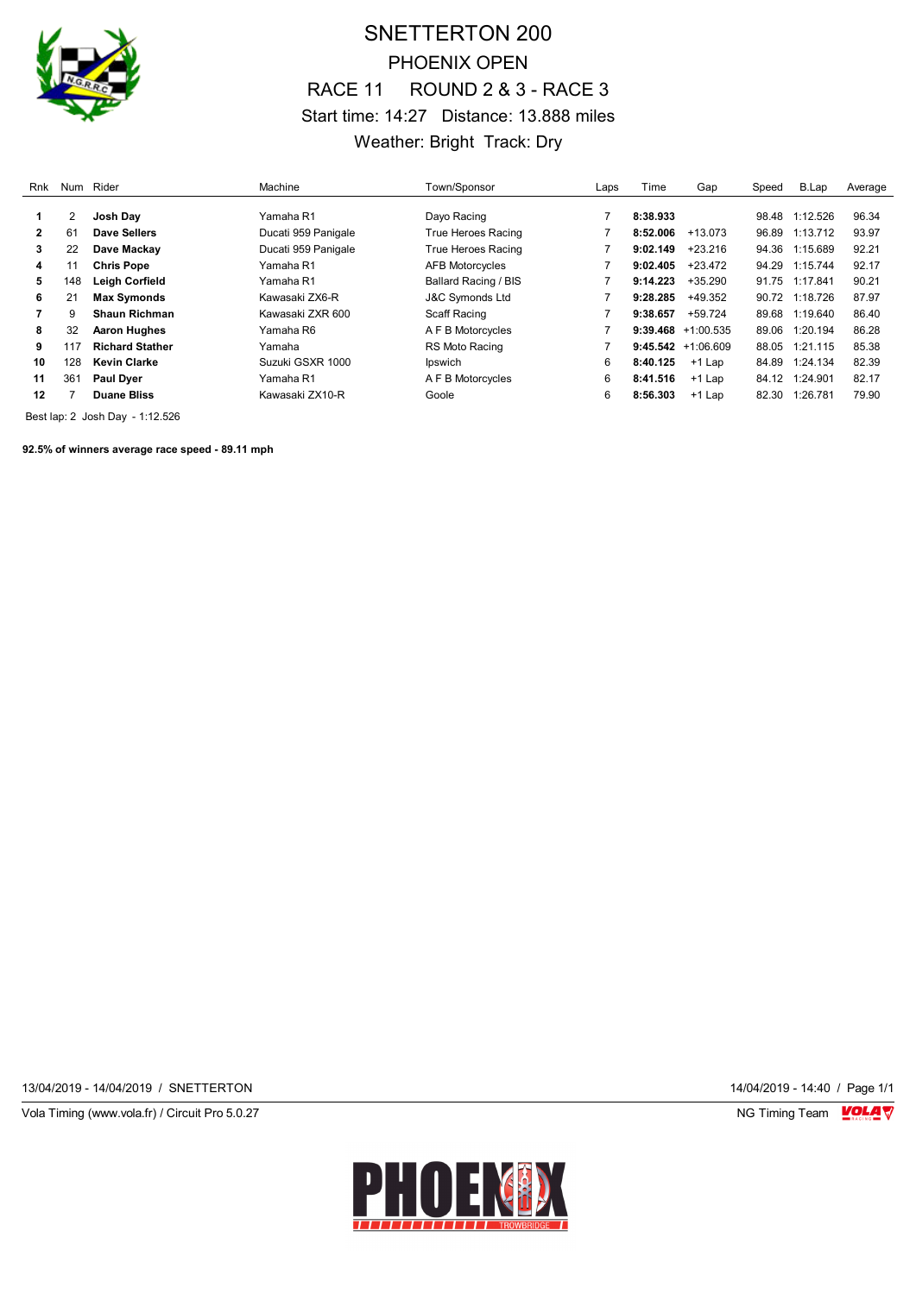

# SNETTERTON 200 PHOENIX OPEN RACE 11 ROUND 2 & 3 - RACE 3 Start time: 14:27 Distance: 13.888 miles Weather: Bright Track: Dry

| Rnk |     | Num Rider              | Machine             | Town/Sponsor               | Laps | Time     | Gap                   | Speed | B.Lap          | Average |
|-----|-----|------------------------|---------------------|----------------------------|------|----------|-----------------------|-------|----------------|---------|
|     |     | Josh Dav               | Yamaha R1           | Davo Racing                |      | 8:38.933 |                       |       | 98.48 1:12.526 | 96.34   |
| 2   | 61  | Dave Sellers           | Ducati 959 Panigale | True Heroes Racing         |      | 8:52.006 | $+13.073$             | 96.89 | 1:13.712       | 93.97   |
| 3   | 22  | Dave Mackav            | Ducati 959 Panigale | True Heroes Racing         |      | 9:02.149 | $+23.216$             | 94.36 | 1:15.689       | 92.21   |
| 4   |     | <b>Chris Pope</b>      | Yamaha R1           | AFB Motorcycles            |      | 9:02.405 | $+23.472$             |       | 94.29 1:15.744 | 92.17   |
| 5   | 148 | Leigh Corfield         | Yamaha R1           | Ballard Racing / BIS       |      | 9:14.223 | $+35.290$             |       | 91.75 1:17.841 | 90.21   |
| 6   | 21  | <b>Max Symonds</b>     | Kawasaki ZX6-R      | <b>J&amp;C Symonds Ltd</b> |      | 9:28.285 | $+49.352$             | 90.72 | 1:18.726       | 87.97   |
|     | 9   | <b>Shaun Richman</b>   | Kawasaki ZXR 600    | Scaff Racing               |      | 9:38.657 | $+59.724$             | 89.68 | 1:19.640       | 86.40   |
| 8   | 32  | <b>Aaron Hughes</b>    | Yamaha R6           | A F B Motorcycles          |      |          | $9:39.468 +1:00.535$  | 89.06 | 1:20.194       | 86.28   |
| 9   | 117 | <b>Richard Stather</b> | Yamaha              | RS Moto Racing             |      |          | $9:45.542 + 1:06.609$ | 88.05 | 1:21.115       | 85.38   |
| 10  | 128 | <b>Kevin Clarke</b>    | Suzuki GSXR 1000    | Ipswich                    | 6    | 8:40.125 | $+1$ Lap              | 84.89 | 1:24.134       | 82.39   |
| 11  | 361 | <b>Paul Dyer</b>       | Yamaha R1           | A F B Motorcycles          | 6    | 8:41.516 | $+1$ Lap              | 84.12 | 1:24.901       | 82.17   |
| 12  |     | <b>Duane Bliss</b>     | Kawasaki ZX10-R     | Goole                      | 6    | 8:56.303 | $+1$ Lap              | 82.30 | 1:26.781       | 79.90   |

Best lap: 2 Josh Day - 1:12.526

**92.5% of winners average race speed - 89.11 mph**

13/04/2019 - 14/04/2019 / SNETTERTON 14/04/2019 - 14:40 / Page 1/1

Vola Timing (www.vola.fr) / Circuit Pro 5.0.27 NG Timing Team VOLA V

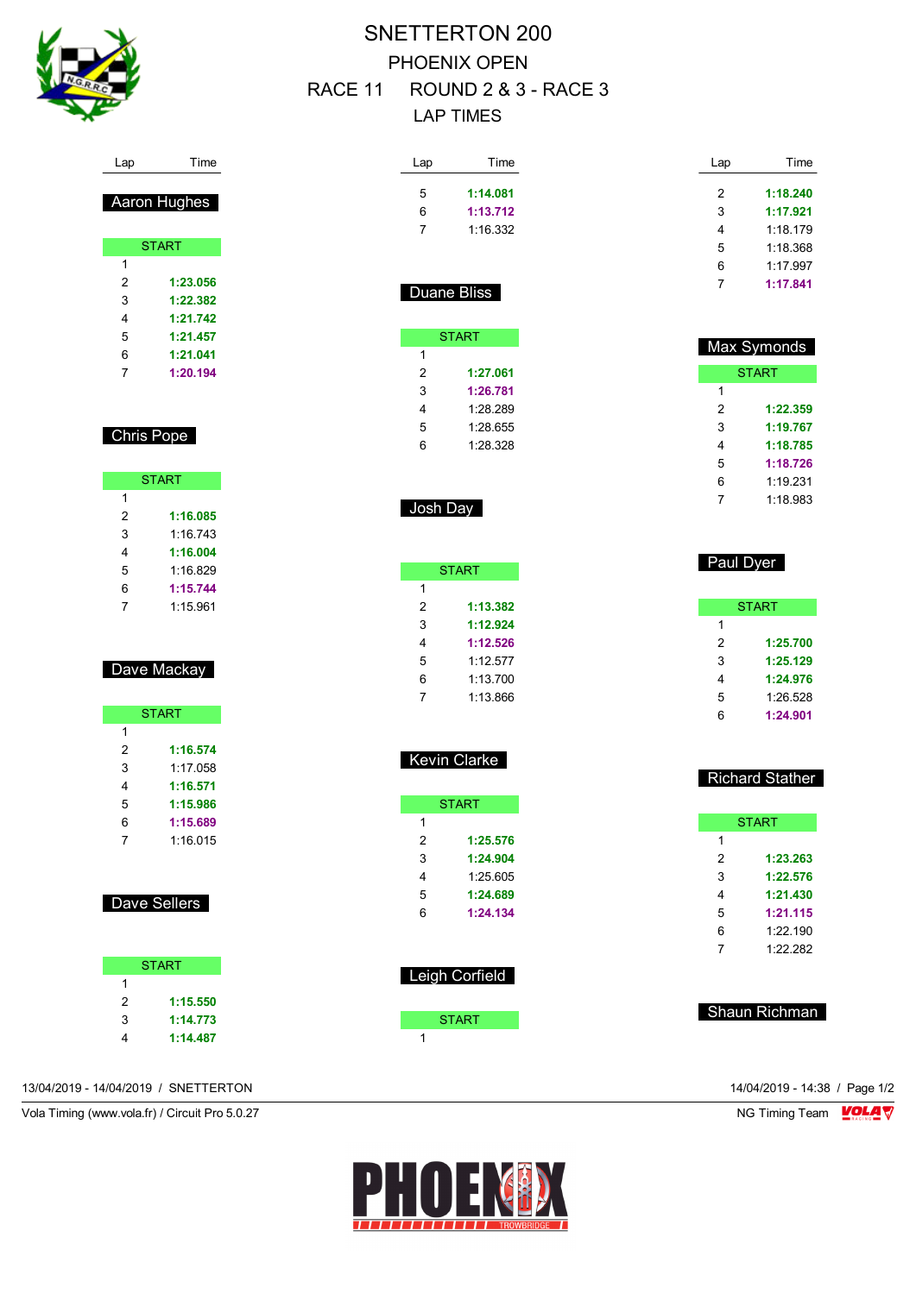

# SNETTERTON 200 PHOENIX OPEN RACE 11 ROUND 2 & 3 - RACE 3 LAP TIMES

| Lap            | Time         |
|----------------|--------------|
| 5              | 1:14.081     |
| 6              | 1:13.712     |
| $\overline{7}$ | 1:16.332     |
|                |              |
|                |              |
|                | Duane Bliss  |
|                |              |
|                | <b>START</b> |
|                |              |
| 1              |              |
| 2              | 1:27.061     |
| 3              | 1:26.781     |
| 4              | 1:28.289     |
| 5              | 1:28.655     |
| 6              | 1:28.328     |
|                |              |
|                |              |

|--|

|   | <b>START</b> |
|---|--------------|
| 1 |              |
| 2 | 1:13.382     |
| 3 | 1:12.924     |
| 4 | 1:12.526     |
| 5 | 1:12.577     |
| 6 | 1:13.700     |
| 7 | 1:13.866     |

| 5 | 1:12.577 |  |
|---|----------|--|
| 6 | 1:13.700 |  |
| 7 | 1:13.866 |  |
|   |          |  |
|   |          |  |

|   | START    |
|---|----------|
| 1 |          |
| 2 | 1:25.576 |
| 3 | 1:24.904 |
| 4 | 1:25.605 |
| 5 | 1:24.689 |
| 6 | 1:24.134 |

Kevin Clarke

| Leigh Corfield |  |
|----------------|--|
| <b>START</b>   |  |

| 2 | 1:18.240 |
|---|----------|
| 3 | 1:17.921 |
| 4 | 1.18179  |
| 5 | 1.18.368 |
| ี | 1.17997  |
| 7 | 1:17.841 |
|   |          |

Lap Time

| Max Symonds |          |  |  |  |  |  |  |
|-------------|----------|--|--|--|--|--|--|
|             | START    |  |  |  |  |  |  |
| 1           |          |  |  |  |  |  |  |
| 2           | 1:22.359 |  |  |  |  |  |  |
| 3           | 1:19.767 |  |  |  |  |  |  |
| 4           | 1:18.785 |  |  |  |  |  |  |
| 5           | 1:18.726 |  |  |  |  |  |  |
| 6           | 1:19.231 |  |  |  |  |  |  |
|             | 1:18.983 |  |  |  |  |  |  |

|   | гauι ⊔y <del>c</del> ı |
|---|------------------------|
|   |                        |
|   | <b>START</b>           |
| 1 |                        |
| 2 | 1:25.700               |
| 3 | 1:25.129               |
| 4 | 1:24.976               |
| 5 | 1:26.528               |
| 6 | 1:24.901               |

Paul Dyer

| <b>Richard Stather</b> |  |
|------------------------|--|
|                        |  |

| <b>START</b> |          |  |  |  |  |  |  |
|--------------|----------|--|--|--|--|--|--|
| 1            |          |  |  |  |  |  |  |
| 2            | 1:23.263 |  |  |  |  |  |  |
| 3            | 1:22.576 |  |  |  |  |  |  |
| 4            | 1:21.430 |  |  |  |  |  |  |
| 5            | 1:21.115 |  |  |  |  |  |  |
| 6            | 1:22.190 |  |  |  |  |  |  |
| 7            | 1:22.282 |  |  |  |  |  |  |

Chris Pope

Г

Lap Time

Aaron Hughes

**START** 

 **1:23.056 1:22.382 1:21.742 1:21.457 1:21.041 1:20.194**

| <b>START</b> |          |  |  |  |  |  |  |
|--------------|----------|--|--|--|--|--|--|
| 1            |          |  |  |  |  |  |  |
| 2            | 1:16.085 |  |  |  |  |  |  |
| 3            | 1 16 743 |  |  |  |  |  |  |
| 4            | 1:16.004 |  |  |  |  |  |  |
| 5            | 1:16.829 |  |  |  |  |  |  |
| 6            | 1:15.744 |  |  |  |  |  |  |
|              | 1.15961  |  |  |  |  |  |  |

### Dave Mackay

| <b>START</b> |          |  |  |  |  |  |
|--------------|----------|--|--|--|--|--|
| 1            |          |  |  |  |  |  |
| 2            | 1:16.574 |  |  |  |  |  |
| 3            | 1.17 058 |  |  |  |  |  |
| 4            | 1:16.571 |  |  |  |  |  |
| 5            | 1:15.986 |  |  |  |  |  |
| 6            | 1:15.689 |  |  |  |  |  |
|              | 1:16.015 |  |  |  |  |  |

### Dave Sellers

|   | <b>START</b> |
|---|--------------|
| 1 |              |
| 2 | 1:15.550     |
| 3 | 1:14.773     |
|   | 1:14.487     |

13/04/2019 - 14/04/2019 / SNETTERTON 14/04/2019 - 14:38 / Page 1/2

Vola Timing (www.vola.fr) / Circuit Pro 5.0.27 NG Timing Team NG Timing Team NG Timing Team NG Timing Team NG

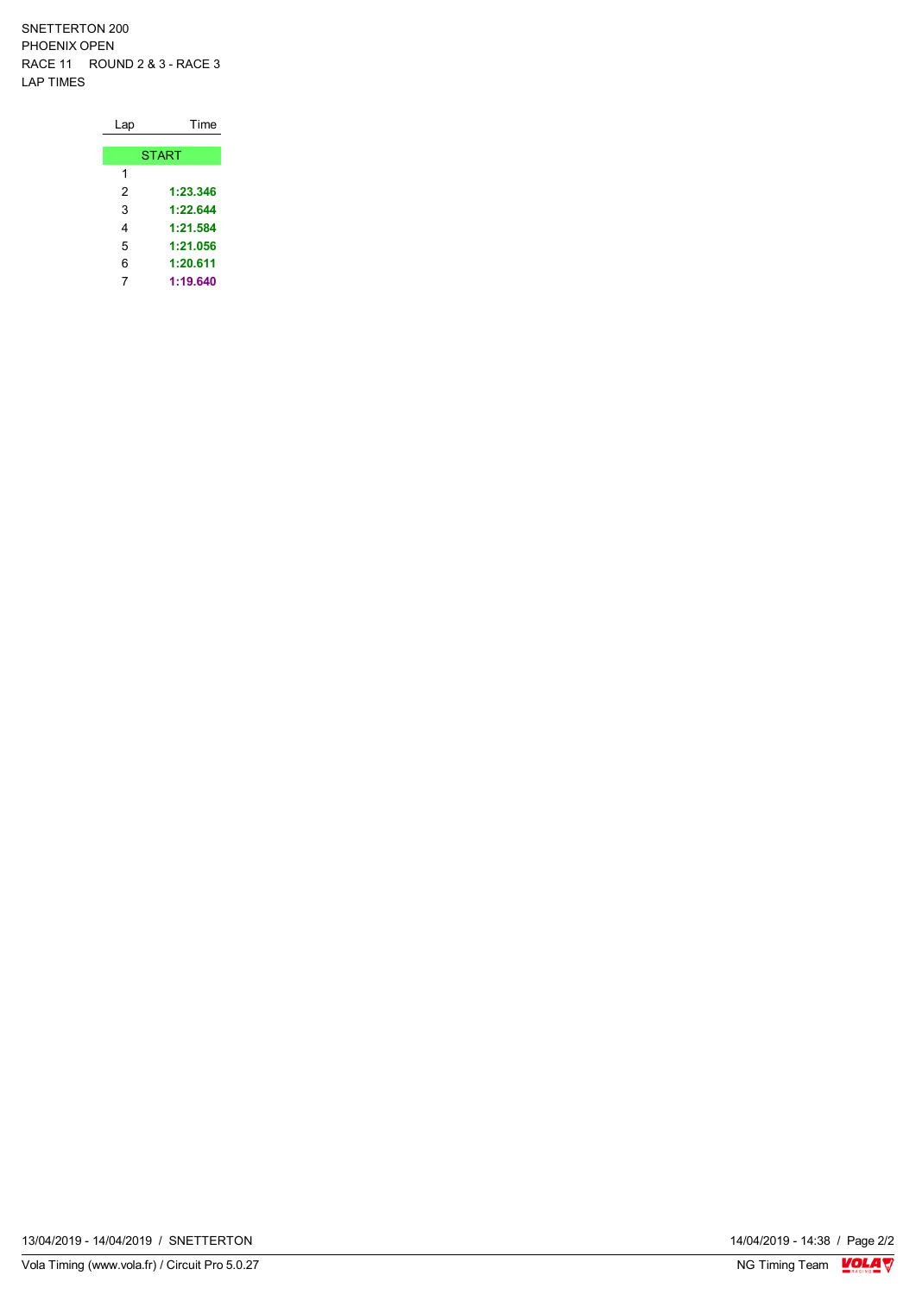SNETTERTON 200 PHOENIX OPEN RACE 11 ROUND 2 & 3 - RACE 3 LAP TIMES

| Lap | Time         |
|-----|--------------|
|     |              |
|     | <b>START</b> |
| 1   |              |
| 2   | 1:23.346     |
| 3   | 1:22.644     |
| 4   | 1:21.584     |
| 5   | 1:21.056     |
| 6   | 1:20.611     |
| 7   | 1:19.640     |

14/04/2019 - 14:38 / Page 2/2<br>NG Timing Team  $\frac{\text{VOLA}}{\text{V}}$